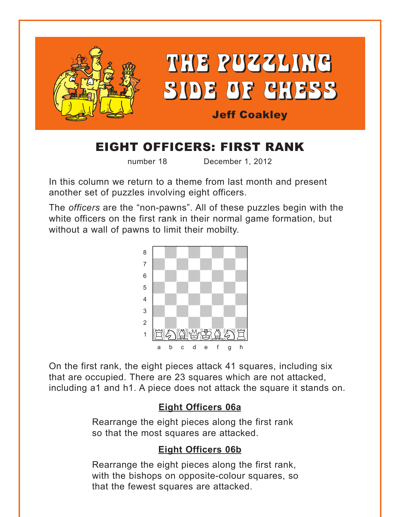<span id="page-0-0"></span>

# EIGHT OFFICERS: FIRST RANK

number 18 December 1, 2012

In this column we return to a theme from last month and present another set of puzzles involving eight officers.

The *officers* are the "non-pawns". All of these puzzles begin with the white officers on the first rank in their normal game formation, but without a wall of pawns to limit their mobilty.



On the first rank, the eight pieces attack 41 squares, including six that are occupied. There are 23 squares which are not attacked, including a1 and h1. A piece does not attack the square it stands on.

## **[Eight Officers 06a](#page-3-0)**

Rearrange the eight pieces along the first rank so that the most squares are attacked.

## **[Eight Officers 06b](#page-4-0)**

Rearrange the eight pieces along the first rank, with the bishops on opposite-colour squares, so that the fewest squares are attacked.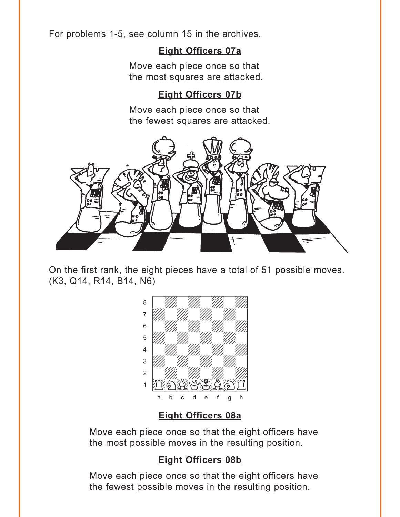<span id="page-1-0"></span>For problems 1-5, see column 15 in the archives.

#### Eight Officers 07a

Move each piece once so that the most squares are attacked.

#### **Eight Officers 07b**

Move each piece once so that the fewest squares are attacked.



On the first rank, the eight pieces have a total of 51 possible moves. (K3, Q14, R14, B14, N6)



## **Eight Officers 08a**

Move each piece once so that the eight officers have the most possible moves in the resulting position.

#### **Eight Officers 08b**

Move each piece once so that the eight officers have the fewest possible moves in the resulting position.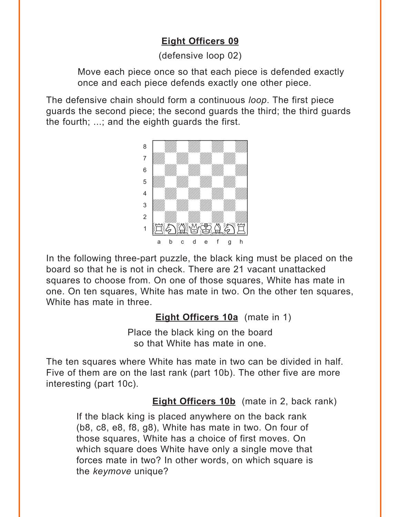## **[Eight Officers 09](#page-6-0)**

(defensive loop 02)

<span id="page-2-0"></span>Move each piece once so that each piece is defended exactly once and each piece defends exactly one other piece.

The defensive chain should form a continuous *loop*. The first piece guards the second piece; the second guards the third; the third guards the fourth; ...; and the eighth guards the first.



In the following three-part puzzle, the black king must be placed on the board so that he is not in check. There are 21 vacant unattacked squares to choose from. On one of those squares, White has mate in one. On ten squares, White has mate in two. On the other ten squares, White has mate in three.

**[Eight Officers 10a](#page-7-0)** (mate in 1)

Place the black king on the board so that White has mate in one.

The ten squares where White has mate in two can be divided in half. Five of them are on the last rank (part 10b). The other five are more interesting (part 10c).

**[Eight Officers 10b](#page-7-0)** (mate in 2, back rank)

If the black king is placed anywhere on the back rank (b8, c8, e8, f8, g8), White has mate in two. On four of those squares, White has a choice of first moves. On which square does White have only a single move that forces mate in two? In other words, on which square is the *keymove* unique?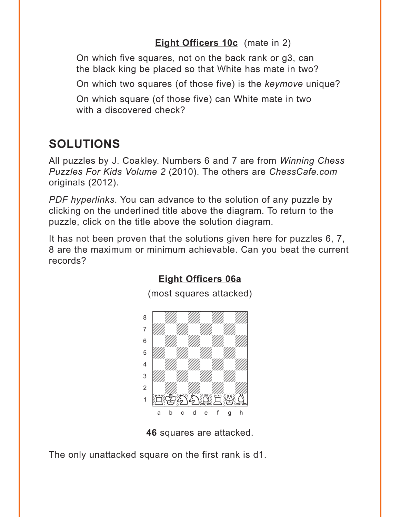### **Eight Officers 10c** (mate in 2)

<span id="page-3-0"></span>On which five squares, not on the back rank or q3, can the black king be placed so that White has mate in two?

On which two squares (of those five) is the keymove unique?

On which square (of those five) can White mate in two with a discovered check?

## **SOLUTIONS**

All puzzles by J. Coakley. Numbers 6 and 7 are from *Winning Chess* Puzzles For Kids Volume 2 (2010). The others are ChessCafe.com originals (2012).

PDF hyperlinks. You can advance to the solution of any puzzle by clicking on the underlined title above the diagram. To return to the puzzle, click on the title above the solution diagram.

It has not been proven that the solutions given here for puzzles 6, 7, 8 are the maximum or minimum achievable. Can you beat the current records?



#### **Eight Officers 06a**

(most squares attacked)

46 squares are attacked.

The only unattacked square on the first rank is d1.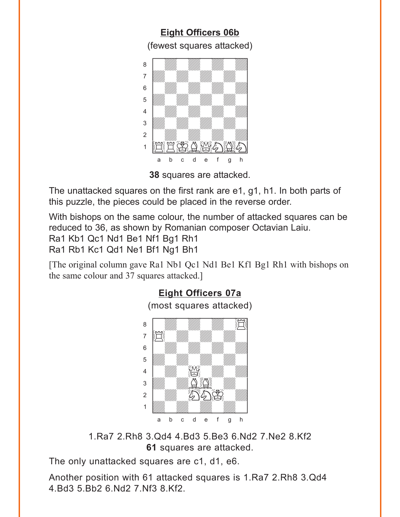<span id="page-4-0"></span>**[Eight Officers 06b](#page-0-0)** (fewest squares attacked)  $w$  west squares and  $w$ a **chunga a chunga a chunga a chunga a chunga a** àdwdwdwdw] 6 William William William William  $\overline{\mathcal{L}}$ 4 William William William William  $\frac{1}{\sqrt{2}}$ 2 | *William William William William William William William William William William William William William William William William William William William William William William William William William William William W* 1 适宜等合业分 a b c d e f g h

**38** squares are attacked.

The unattacked squares on the first rank are e1, g1, h1. In both parts of this puzzle, the pieces could be placed in the reverse order.

With bishops on the same colour, the number of attacked squares can be reduced to 36, as shown by Romanian composer Octavian Laiu.

Ra1 Kb1 Qc1 Nd1 Be1 Nf1 Bg1 Rh1

Ra1 Rb1 Kc1 Qd1 Ne1 Bf1 Ng1 Bh1

[The original column gave Ra1 Nb1 Qc1 Nd1 Be1 Kf1 Bg1 Rh1 with bishops on the same colour and 37 squares attacked.]



1.Ra7 2.Rh8 3.Qd4 4.Bd3 5.Be3 6.Nd2 7.Ne2 8.Kf2 **61** squares are attacked.

The only unattacked squares are c1, d1, e6.

Another position with 61 attacked squares is 1.Ra7 2.Rh8 3.Qd4 4.Bd3 5.Bb2 6.Nd2 7.Nf3 8.Kf2.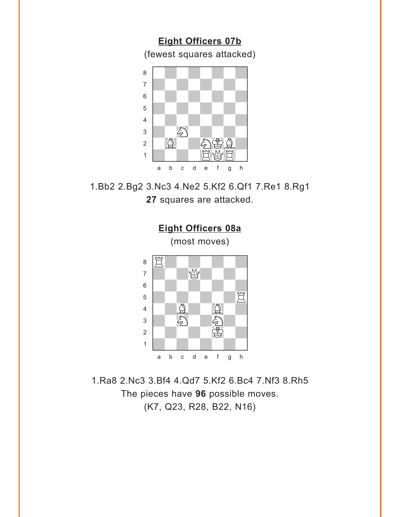<span id="page-5-0"></span>**[Eight Officers 07b](#page-1-0)** (fewest squares attacked)  $\frac{1}{\sqrt{2}}$ a **chunga a chunga a chunga a chunga a chunga a** àdwdwdwdw]



1.Bb2 2.Bg2 3.Nc3 4.Ne2 5.Kf2 6.Qf1 7.Re1 8.Rg1 **27** squares are attacked.



1.Ra8 2.Nc3 3.Bf4 4.Qd7 5.Kf2 6.Bc4 7.Nf3 8.Rh5 The pieces have **96** possible moves. (K7, Q23, R28, B22, N16)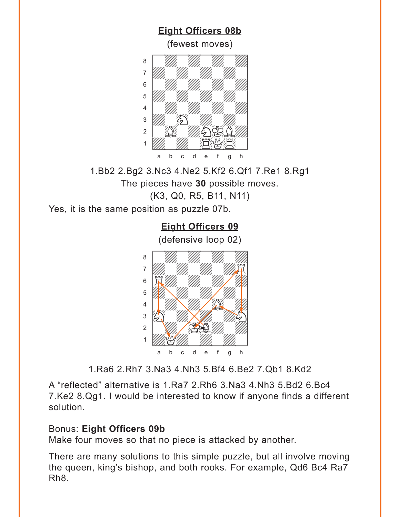<span id="page-6-0"></span>

1.Bb2 2.Bg2 3.Nc3 4.Ne2 5.Kf2 6.Qf1 7.Re1 8.Rg1 The pieces have **30** possible moves. (K3, Q0, R5, B11, N11)

Yes, it is the same position as puzzle 07b.

**[Eight Officers 09](#page-2-0)** (defensive loop 02) a Milliam Milliam Milliam Milliam Milliam Milliam Milliam Milliam Milliam Milliam Milliam Milliam Milliam Mill adwada waxaa ku wadanka waxaa ku wadanka waxaa ku wadanka waxaa ku wadanka waxaa ku wadanka waxaa ku wadanka w<br>Aadaanka waxaa ku wadanka waxaa ku wadanka waxaa ku wadanka waxaa ku wadanka waxaa ku wadanka waxaa ku wadanka  $\begin{bmatrix} \begin{bmatrix} \mathbf{R} & \mathbf{R} \end{bmatrix} & \mathbf{R} & \mathbf{R} & \mathbf{R} \end{bmatrix}$ **b Hans May May Miller**  $\frac{4}{\sqrt{2}}$  /  $\frac{1}{\sqrt{2}}$  /  $\frac{1}{\sqrt{2}}$  /  $\frac{1}{\sqrt{2}}$  $\frac{1}{2}$   $\frac{1}{2}$  $\frac{2}{2}$  and  $\frac{2}{2}$ 1 *Uddwyddwr William William William William William William William William William William William William William William William William William William William William William William William William William William W* a b c d e f g h

1.Ra6 2.Rh7 3.Na3 4.Nh3 5.Bf4 6.Be2 7.Qb1 8.Kd2

A "reflected" alternative is 1.Ra7 2.Rh6 3.Na3 4.Nh3 5.Bd2 6.Bc4 7.Ke2 8.Qg1. I would be interested to know if anyone finds a different solution.

#### Bonus: **Eight Officers 09b**

Make four moves so that no piece is attacked by another.

There are many solutions to this simple puzzle, but all involve moving the queen, king's bishop, and both rooks. For example, Qd6 Bc4 Ra7 Rh8.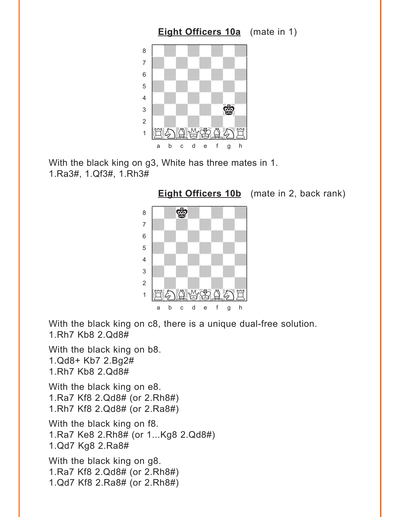<span id="page-7-0"></span>

With the black king on g3, White has three mates in 1. 1.Ra3#, 1.Qf3#, 1.Rh3#

**[Eight Officers 10b](#page-2-0)** (mate in 2, back rank)



With the black king on c8, there is a unique dual-free solution. 1.Rh7 Kb8 2.Qd8#

With the black king on b8. 1.Qd8+ Kb7 2.Bg2# 1.Rh7 Kb8 2.Qd8# With the black king on e8. 1.Ra7 Kf8 2.Qd8# (or 2.Rh8#)

1.Rh7 Kf8 2.Qd8# (or 2.Ra8#)

With the black king on f8. 1.Ra7 Ke8 2.Rh8# (or 1...Kg8 2.Qd8#) 1.Qd7 Kg8 2.Ra8#

With the black king on g8. 1.Ra7 Kf8 2.Qd8# (or 2.Rh8#) 1.Qd7 Kf8 2.Ra8# (or 2.Rh8#)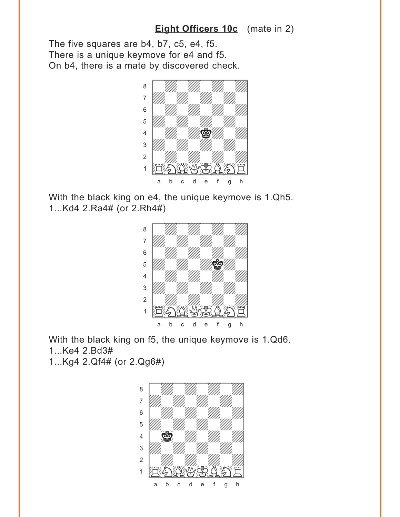#### **[Eight Officers 10c](#page-3-0)** (mate in 2)

<span id="page-8-0"></span>The five squares are b4, b7, c5, e4, f5. There is a unique keymove for e4 and f5. On b4, there is a mate by discovered check.



With the black king on e4, the unique keymove is 1.Qh5. 1...Kd4 2.Ra4# (or 2.Rh4#)



With the black king on f5, the unique keymove is 1.Qd6. 1...Ke4 2.Bd3# 1...Kg4 2.Qf4# (or 2.Qg6#)